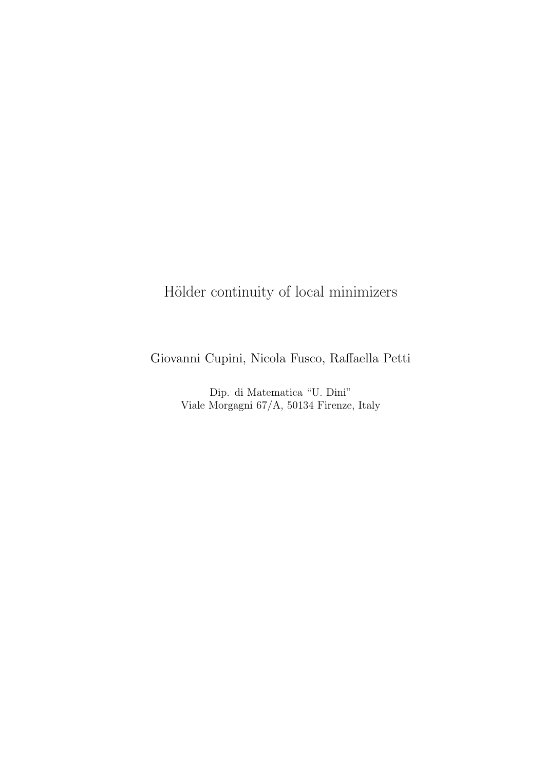# Hölder continuity of local minimizers

Giovanni Cupini, Nicola Fusco, Raffaella Petti

Dip. di Matematica "U. Dini" Viale Morgagni 67/A, 50134 Firenze, Italy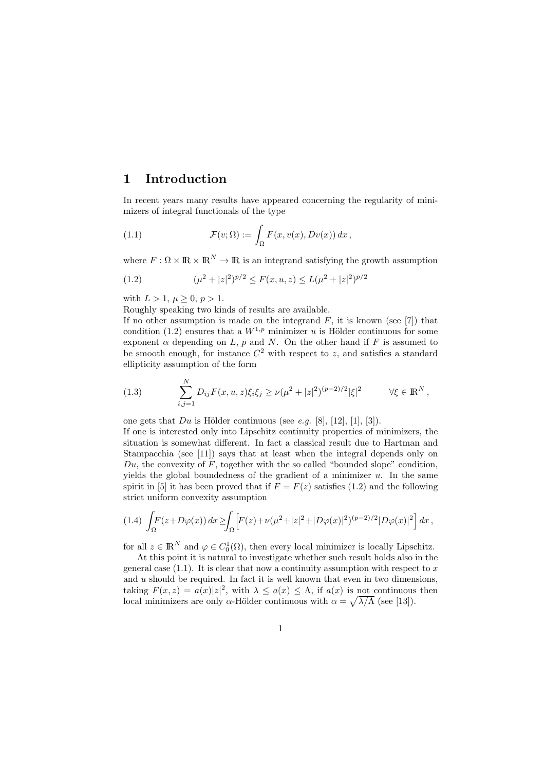## 1 Introduction

In recent years many results have appeared concerning the regularity of minimizers of integral functionals of the type

(1.1) 
$$
\mathcal{F}(v;\Omega) := \int_{\Omega} F(x,v(x),Dv(x)) dx,
$$

where  $F: \Omega \times \mathbb{R} \times \mathbb{R}^N \to \mathbb{R}$  is an integrand satisfying the growth assumption

(1.2) 
$$
(\mu^2 + |z|^2)^{p/2} \le F(x, u, z) \le L(\mu^2 + |z|^2)^{p/2}
$$

with  $L > 1, \mu > 0, p > 1$ .

Roughly speaking two kinds of results are available.

If no other assumption is made on the integrand  $F$ , it is known (see [7]) that condition (1.2) ensures that a  $W^{1,p}$  minimizer u is Hölder continuous for some exponent  $\alpha$  depending on  $L$ ,  $p$  and  $N$ . On the other hand if  $F$  is assumed to be smooth enough, for instance  $C^2$  with respect to z, and satisfies a standard ellipticity assumption of the form

(1.3) 
$$
\sum_{i,j=1}^{N} D_{ij} F(x, u, z) \xi_i \xi_j \ge \nu (\mu^2 + |z|^2)^{(p-2)/2} |\xi|^2 \qquad \forall \xi \in \mathbb{R}^N,
$$

one gets that  $Du$  is Hölder continuous (see e.g. [8], [12], [1], [3]).

If one is interested only into Lipschitz continuity properties of minimizers, the situation is somewhat different. In fact a classical result due to Hartman and Stampacchia (see [11]) says that at least when the integral depends only on  $Du$ , the convexity of F, together with the so called "bounded slope" condition, yields the global boundedness of the gradient of a minimizer  $u$ . In the same spirit in [5] it has been proved that if  $F = F(z)$  satisfies (1.2) and the following strict uniform convexity assumption

$$
(1.4)\ \int_{\Omega} F(z+D\varphi(x))\,dx\geq \int_{\Omega} \left[F(z)+\nu(\mu^2+|z|^2+|D\varphi(x)|^2)^{(p-2)/2}|D\varphi(x)|^2\right]dx\,,
$$

for all  $z \in \mathbb{R}^N$  and  $\varphi \in C_0^1(\Omega)$ , then every local minimizer is locally Lipschitz.

At this point it is natural to investigate whether such result holds also in the general case  $(1,1)$ . It is clear that now a continuity assumption with respect to x and  $u$  should be required. In fact it is well known that even in two dimensions, taking  $F(x, z) = a(x)|z|^2$ , with  $\lambda \leq a(x) \leq \Lambda$ , if  $a(x)$  is not continuous then local minimizers are only  $\alpha$ -Hölder continuous with  $\alpha = \sqrt{\lambda/\Lambda}$  (see [13]).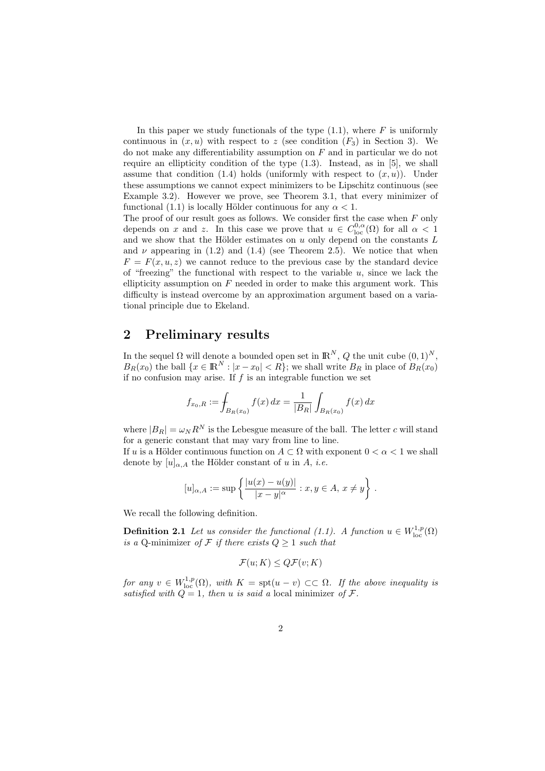In this paper we study functionals of the type  $(1.1)$ , where  $F$  is uniformly continuous in  $(x, u)$  with respect to z (see condition  $(F_3)$  in Section 3). We do not make any differentiability assumption on  $F$  and in particular we do not require an ellipticity condition of the type (1.3). Instead, as in [5], we shall assume that condition  $(1.4)$  holds (uniformly with respect to  $(x, u)$ ). Under these assumptions we cannot expect minimizers to be Lipschitz continuous (see Example 3.2). However we prove, see Theorem 3.1, that every minimizer of functional (1.1) is locally Hölder continuous for any  $\alpha < 1$ .

The proof of our result goes as follows. We consider first the case when  $F$  only depends on x and z. In this case we prove that  $u \in C^{0,\alpha}_{loc}(\Omega)$  for all  $\alpha < 1$ and we show that the Hölder estimates on  $u$  only depend on the constants  $L$ and  $\nu$  appearing in (1.2) and (1.4) (see Theorem 2.5). We notice that when  $F = F(x, u, z)$  we cannot reduce to the previous case by the standard device of "freezing" the functional with respect to the variable  $u$ , since we lack the ellipticity assumption on  $F$  needed in order to make this argument work. This difficulty is instead overcome by an approximation argument based on a variational principle due to Ekeland.

#### 2 Preliminary results

In the sequel  $\Omega$  will denote a bounded open set in  $\mathbb{R}^N$ , Q the unit cube  $(0,1)^N$ ,  $B_R(x_0)$  the ball  $\{x \in \mathbb{R}^N : |x - x_0| < R\}$ ; we shall write  $B_R$  in place of  $B_R(x_0)$ if no confusion may arise. If  $f$  is an integrable function we set

$$
f_{x_0,R} := \int_{B_R(x_0)} f(x) \, dx = \frac{1}{|B_R|} \int_{B_R(x_0)} f(x) \, dx
$$

where  $|B_R| = \omega_N R^N$  is the Lebesgue measure of the ball. The letter c will stand for a generic constant that may vary from line to line.

If u is a Hölder continuous function on  $A \subset \Omega$  with exponent  $0 < \alpha < 1$  we shall denote by  $[u]_{\alpha,A}$  the Hölder constant of u in A, *i.e.* 

$$
[u]_{\alpha,A} := \sup \left\{ \frac{|u(x) - u(y)|}{|x - y|^{\alpha}} : x, y \in A, x \neq y \right\}.
$$

We recall the following definition.

**Definition 2.1** Let us consider the functional (1.1). A function  $u \in W^{1,p}_{loc}(\Omega)$ is a Q-minimizer of  $\mathcal F$  if there exists  $Q \geq 1$  such that

$$
\mathcal{F}(u;K) \le Q\mathcal{F}(v;K)
$$

for any  $v \in W^{1,p}_{loc}(\Omega)$ , with  $K = \text{spt}(u - v) \subset\subset \Omega$ . If the above inequality is satisfied with  $Q = 1$ , then u is said a local minimizer of  $\mathcal{F}$ .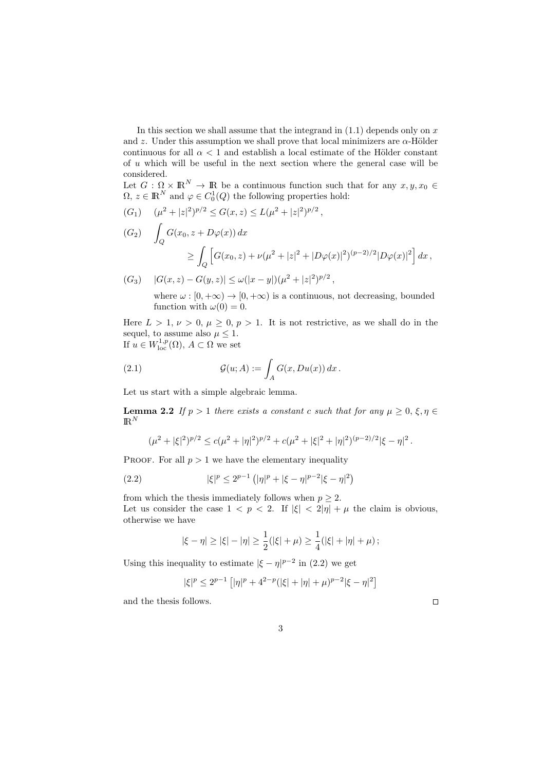In this section we shall assume that the integrand in  $(1.1)$  depends only on x and z. Under this assumption we shall prove that local minimizers are  $\alpha$ -Hölder continuous for all  $\alpha$  < 1 and establish a local estimate of the Hölder constant of u which will be useful in the next section where the general case will be considered.

Let  $G: \Omega \times \mathbb{R}^N \to \mathbb{R}$  be a continuous function such that for any  $x, y, x_0 \in$  $\Omega, z \in \mathbb{R}^N$  and  $\varphi \in C_0^1(Q)$  the following properties hold:

$$
(G_1) \quad (\mu^2 + |z|^2)^{p/2} \le G(x, z) \le L(\mu^2 + |z|^2)^{p/2},
$$

$$
(G_2) \quad \int_Q G(x_0, z + D\varphi(x)) dx
$$
  
 
$$
\geq \int_Q \left[ G(x_0, z) + \nu(\mu^2 + |z|^2 + |D\varphi(x)|^2)^{(p-2)/2} |D\varphi(x)|^2 \right] dx,
$$

$$
(G_3) \quad |G(x,z) - G(y,z)| \le \omega(|x-y|)(\mu^2 + |z|^2)^{p/2},
$$

where  $\omega : [0, +\infty) \to [0, +\infty)$  is a continuous, not decreasing, bounded function with  $\omega(0) = 0$ .

Here  $L > 1, \nu > 0, \mu \geq 0, p > 1$ . It is not restrictive, as we shall do in the sequel, to assume also  $\mu \leq 1$ . If  $u \in W^{1,p}_{\text{loc}}(\Omega)$ ,  $A \subset \Omega$  we set

(2.1) 
$$
\mathcal{G}(u;A) := \int_A G(x,Du(x)) dx.
$$

Let us start with a simple algebraic lemma.

**Lemma 2.2** If  $p > 1$  there exists a constant c such that for any  $\mu \geq 0, \xi, \eta \in$  $\mathrm{I\!R}^N$ 

$$
(\mu^2 + |\xi|^2)^{p/2} \le c(\mu^2 + |\eta|^2)^{p/2} + c(\mu^2 + |\xi|^2 + |\eta|^2)^{(p-2)/2} |\xi - \eta|^2.
$$

PROOF. For all  $p > 1$  we have the elementary inequality

(2.2) 
$$
|\xi|^p \le 2^{p-1} \left( |\eta|^p + |\xi - \eta|^{p-2} |\xi - \eta|^2 \right)
$$

from which the thesis immediately follows when  $p \geq 2$ . Let us consider the case  $1 < p < 2$ . If  $|\xi| < 2|\eta| + \mu$  the claim is obvious, otherwise we have

$$
|\xi - \eta| \ge |\xi| - |\eta| \ge \frac{1}{2}(|\xi| + \mu) \ge \frac{1}{4}(|\xi| + |\eta| + \mu);
$$

Using this inequality to estimate  $|\xi - \eta|^{p-2}$  in (2.2) we get

$$
|\xi|^p \le 2^{p-1} \left[ |\eta|^p + 4^{2-p} (|\xi| + |\eta| + \mu)^{p-2} |\xi - \eta|^2 \right]
$$

and the thesis follows.

 $\Box$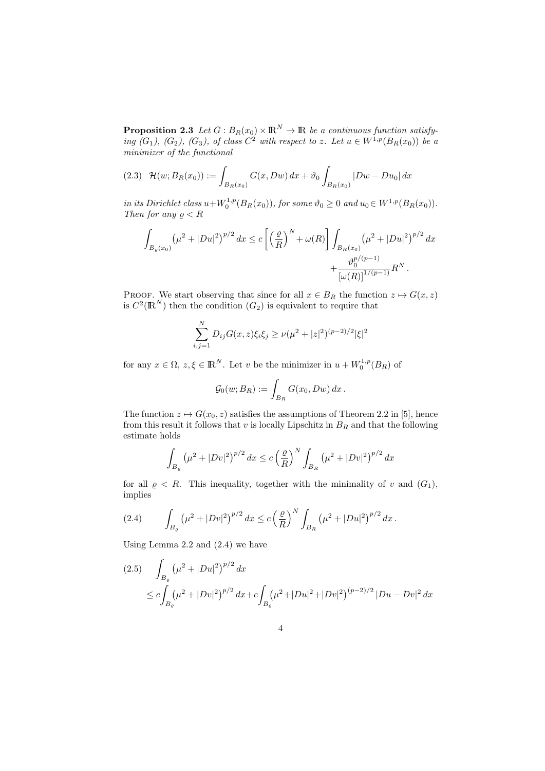**Proposition 2.3** Let  $G : B_R(x_0) \times \mathbb{R}^N \to \mathbb{R}$  be a continuous function satisfying  $(G_1)$ ,  $(G_2)$ ,  $(G_3)$ , of class  $C^2$  with respect to z. Let  $u \in W^{1,p}(B_R(x_0))$  be a minimizer of the functional

$$
(2.3) \quad \mathcal{H}(w; B_R(x_0)) := \int_{B_R(x_0)} G(x, Dw) \, dx + \vartheta_0 \int_{B_R(x_0)} |Dw - Du_0| \, dx
$$

in its Dirichlet class  $u+W_0^{1,p}(B_R(x_0))$ , for some  $\vartheta_0 \geq 0$  and  $u_0 \in W^{1,p}(B_R(x_0))$ . Then for any  $\rho < R$ 

$$
\int_{B_{\varrho}(x_0)} (\mu^2 + |Du|^2)^{p/2} dx \le c \left[ \left( \frac{\varrho}{R} \right)^N + \omega(R) \right] \int_{B_R(x_0)} (\mu^2 + |Du|^2)^{p/2} dx + \frac{\vartheta_0^{p/(p-1)}}{\left[ \omega(R) \right]^{1/(p-1)}} R^N.
$$

PROOF. We start observing that since for all  $x \in B_R$  the function  $z \mapsto G(x, z)$ is  $C^2(\mathbb{R}^N)$  then the condition  $(G_2)$  is equivalent to require that

$$
\sum_{i,j=1}^{N} D_{ij} G(x, z) \xi_i \xi_j \ge \nu (\mu^2 + |z|^2)^{(p-2)/2} |\xi|^2
$$

for any  $x \in \Omega$ ,  $z, \xi \in \mathbb{R}^N$ . Let v be the minimizer in  $u + W_0^{1,p}(B_R)$  of

$$
\mathcal{G}_0(w; B_R) := \int_{B_R} G(x_0, Dw) \, dx \, .
$$

The function  $z \mapsto G(x_0, z)$  satisfies the assumptions of Theorem 2.2 in [5], hence from this result it follows that  $v$  is locally Lipschitz in  $B_R$  and that the following estimate holds

$$
\int_{B_{\varrho}} \left(\mu^2 + |Dv|^2\right)^{p/2} dx \le c \left(\frac{\varrho}{R}\right)^N \int_{B_R} \left(\mu^2 + |Dv|^2\right)^{p/2} dx
$$

for all  $\rho < R$ . This inequality, together with the minimality of v and  $(G_1)$ , implies

(2.4) 
$$
\int_{B_{\varrho}} \left(\mu^2 + |Dv|^2\right)^{p/2} dx \le c \left(\frac{\varrho}{R}\right)^N \int_{B_R} \left(\mu^2 + |Du|^2\right)^{p/2} dx.
$$

Using Lemma 2.2 and (2.4) we have

$$
(2.5) \int_{B_{\varrho}} (\mu^2 + |Du|^2)^{p/2} dx
$$
  
\n
$$
\leq c \int_{B_{\varrho}} (\mu^2 + |Dv|^2)^{p/2} dx + c \int_{B_{\varrho}} (\mu^2 + |Du|^2 + |Dv|^2)^{(p-2)/2} |Du - Dv|^2 dx
$$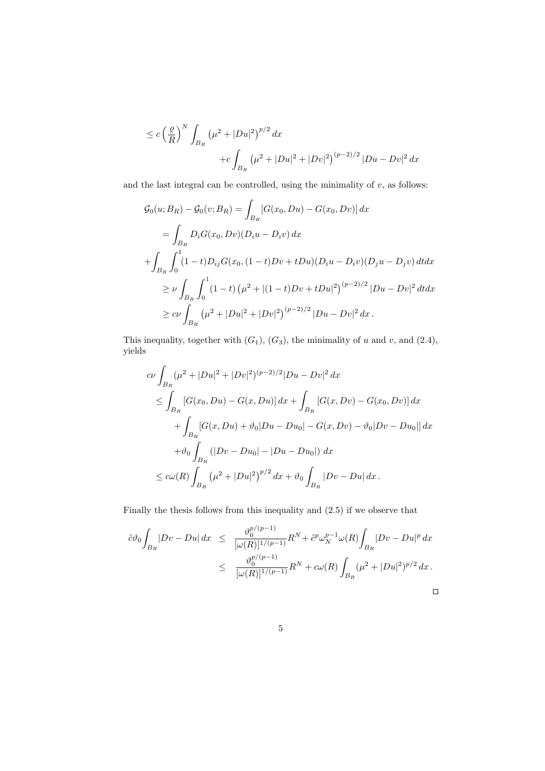$$
\leq c \left(\frac{\varrho}{R}\right)^N \int_{B_R} \left(\mu^2 + |Du|^2\right)^{p/2} dx \n+ c \int_{B_R} \left(\mu^2 + |Du|^2 + |Dv|^2\right)^{(p-2)/2} |Du - Dv|^2 dx
$$

and the last integral can be controlled, using the minimality of  $v$ , as follows:

$$
\mathcal{G}_0(u; B_R) - \mathcal{G}_0(v; B_R) = \int_{B_R} [G(x_0, Du) - G(x_0, Dv)] dx
$$
  
\n
$$
= \int_{B_R} D_i G(x_0, Dv) (D_i u - D_i v) dx
$$
  
\n
$$
+ \int_{B_R} \int_0^1 (1 - t) D_{ij} G(x_0, (1 - t) Dv + tDu) (D_i u - D_i v) (D_j u - D_j v) dt dx
$$
  
\n
$$
\geq \nu \int_{B_R} \int_0^1 (1 - t) (\mu^2 + |(1 - t)Dv + tDu|^2)^{(p-2)/2} |Du - Dv|^2 dt dx
$$
  
\n
$$
\geq c\nu \int_{B_R} (\mu^2 + |Du|^2 + |Dv|^2)^{(p-2)/2} |Du - Dv|^2 dx.
$$

This inequality, together with  $(G_1)$ ,  $(G_3)$ , the minimality of u and v, and  $(2.4)$ , yields

$$
c\nu \int_{B_R} (\mu^2 + |Du|^2 + |Dv|^2)^{(p-2)/2} |Du - Dv|^2 dx
$$
  
\n
$$
\leq \int_{B_R} [G(x_0, Du) - G(x, Du)] dx + \int_{B_R} [G(x, Dv) - G(x_0, Dv)] dx
$$
  
\n
$$
+ \int_{B_R} [G(x, Du) + \vartheta_0 |Du - Du_0| - G(x, Dv) - \vartheta_0 |Dv - Du_0|] dx
$$
  
\n
$$
+ \vartheta_0 \int_{B_R} (|Dv - Du_0| - |Du - Du_0|) dx
$$
  
\n
$$
\leq c\omega(R) \int_{B_R} (\mu^2 + |Du|^2)^{p/2} dx + \vartheta_0 \int_{B_R} |Dv - Du| dx.
$$

Finally the thesis follows from this inequality and (2.5) if we observe that

$$
\tilde{c}\vartheta_0 \int_{B_R} |Dv - Du| \, dx \leq \frac{\vartheta_0^{p/(p-1)}}{[\omega(R)]^{1/(p-1)}} R^N + \tilde{c}^p \omega_N^{p-1} \omega(R) \int_{B_R} |Dv - Du|^p \, dx
$$
  

$$
\leq \frac{\vartheta_0^{p/(p-1)}}{[\omega(R)]^{1/(p-1)}} R^N + c\omega(R) \int_{B_R} (\mu^2 + |Du|^2)^{p/2} \, dx.
$$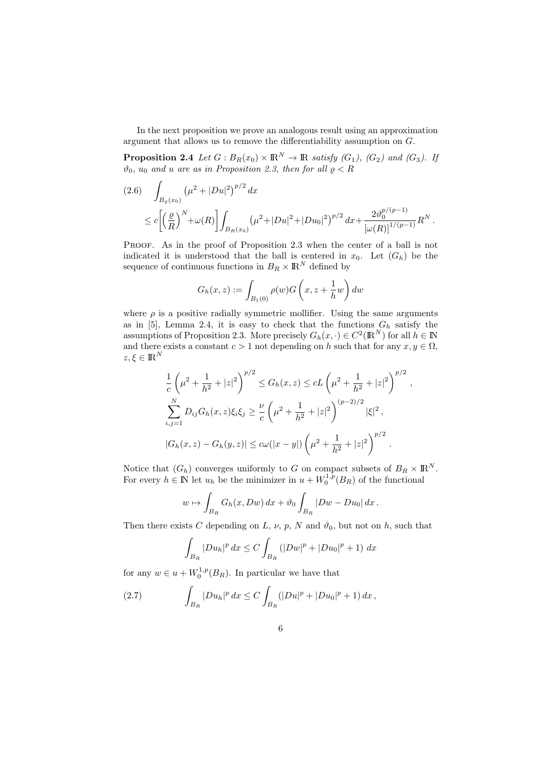In the next proposition we prove an analogous result using an approximation argument that allows us to remove the differentiability assumption on G.

**Proposition 2.4** Let  $G : B_R(x_0) \times \mathbb{R}^N \to \mathbb{R}$  satisfy  $(G_1)$ ,  $(G_2)$  and  $(G_3)$ . If  $\vartheta_0$ ,  $\overline{u_0}$  and u are as in Proposition 2.3, then for all  $\rho < R$ 

$$
(2.6) \int_{B_{\varrho}(x_0)} (\mu^2 + |Du|^2)^{p/2} dx
$$
  
\n
$$
\leq c \left[ \left( \frac{\varrho}{R} \right)^N + \omega(R) \right] \int_{B_R(x_0)} (\mu^2 + |Du|^2 + |Du_0|^2)^{p/2} dx + \frac{2 \vartheta_0^{p/(p-1)}}{\left[ \omega(R) \right]^{1/(p-1)}} R^N.
$$

PROOF. As in the proof of Proposition 2.3 when the center of a ball is not indicated it is understood that the ball is centered in  $x_0$ . Let  $(G_h)$  be the sequence of continuous functions in  $B_R \times \mathbb{R}^N$  defined by

$$
G_h(x, z) := \int_{B_1(0)} \rho(w) G\left(x, z + \frac{1}{h}w\right) dw
$$

where  $\rho$  is a positive radially symmetric mollifier. Using the same arguments as in [5], Lemma 2.4, it is easy to check that the functions  $G_h$  satisfy the assumptions of Proposition 2.3. More precisely  $G_h(x, \cdot) \in C^2(\mathbb{R}^N)$  for all  $h \in \mathbb{N}$ and there exists a constant  $c > 1$  not depending on h such that for any  $x, y \in \Omega$ ,  $z, \xi \in \mathbb{R}^N$ 

$$
\frac{1}{c} \left( \mu^2 + \frac{1}{h^2} + |z|^2 \right)^{p/2} \le G_h(x, z) \le cL \left( \mu^2 + \frac{1}{h^2} + |z|^2 \right)^{p/2},
$$
  

$$
\sum_{i,j=1}^N D_{ij} G_h(x, z) \xi_i \xi_j \ge \frac{\nu}{c} \left( \mu^2 + \frac{1}{h^2} + |z|^2 \right)^{(p-2)/2} |\xi|^2,
$$
  

$$
|G_h(x, z) - G_h(y, z)| \le c\omega(|x - y|) \left( \mu^2 + \frac{1}{h^2} + |z|^2 \right)^{p/2}.
$$

Notice that  $(G_h)$  converges uniformly to G on compact subsets of  $B_R \times \mathbb{R}^N$ . For every  $h \in \mathbb{N}$  let  $u_h$  be the minimizer in  $u + W_0^{1,p}(B_R)$  of the functional

$$
w \mapsto \int_{B_R} G_h(x, Dw) dx + \vartheta_0 \int_{B_R} |Dw - Du_0| dx.
$$

Then there exists C depending on L,  $\nu$ ,  $p$ , N and  $\vartheta_0$ , but not on h, such that

$$
\int_{B_R} |Du_h|^p \, dx \le C \int_{B_R} (|Dw|^p + |Du_0|^p + 1) \, dx
$$

for any  $w \in u + W_0^{1,p}(B_R)$ . In particular we have that

(2.7) 
$$
\int_{B_R} |Du_h|^p dx \leq C \int_{B_R} (|Du|^p + |Du_0|^p + 1) dx,
$$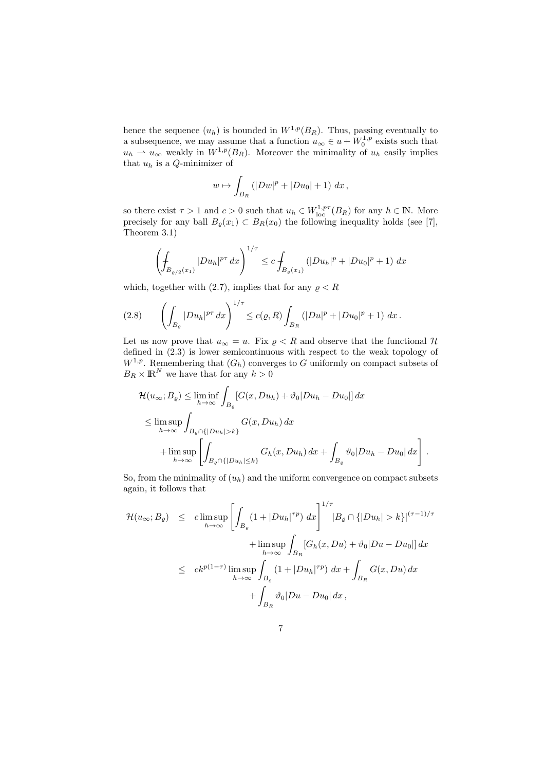hence the sequence  $(u_h)$  is bounded in  $W^{1,p}(B_R)$ . Thus, passing eventually to a subsequence, we may assume that a function  $u_{\infty} \in u + W_0^{1,p}$  exists such that  $u_h \rightharpoonup u_\infty$  weakly in  $W^{1,p}(B_R)$ . Moreover the minimality of  $u_h$  easily implies that  $u_h$  is a  $Q$ -minimizer of

$$
w \mapsto \int_{B_R} (|Dw|^p + |Du_0| + 1) \ dx \,,
$$

so there exist  $\tau > 1$  and  $c > 0$  such that  $u_h \in W^{1, p\tau}_{loc}(B_R)$  for any  $h \in \mathbb{N}$ . More precisely for any ball  $B_{\varrho}(x_1) \subset B_R(x_0)$  the following inequality holds (see [7], Theorem 3.1)

$$
\left(\int_{B_{\varrho/2}(x_1)} |Du_h|^{p\tau} \, dx\right)^{1/\tau} \le c \int_{B_{\varrho}(x_1)} (|Du_h|^p + |Du_0|^p + 1) \, dx
$$

which, together with (2.7), implies that for any  $\rho < R$ 

$$
(2.8) \qquad \left(\int_{B_{\varrho}} |Du_h|^{p\tau} \, dx\right)^{1/\tau} \le c(\varrho, R) \int_{B_R} \left(|Du|^p + |Du_0|^p + 1\right) \, dx \, .
$$

Let us now prove that  $u_{\infty} = u$ . Fix  $\rho < R$  and observe that the functional H defined in (2.3) is lower semicontinuous with respect to the weak topology of  $W^{1,p}$ . Remembering that  $(G_h)$  converges to G uniformly on compact subsets of  $B_R \times \mathbb{R}^N$  we have that for any  $k > 0$ 

$$
\mathcal{H}(u_{\infty};B_{\varrho}) \leq \liminf_{h \to \infty} \int_{B_{\varrho}} [G(x, Du_h) + \vartheta_0 |Du_h - Du_0|] dx
$$
  
\n
$$
\leq \limsup_{h \to \infty} \int_{B_{\varrho} \cap \{|Du_h| > k\}} G(x, Du_h) dx
$$
  
\n
$$
+ \limsup_{h \to \infty} \left[ \int_{B_{\varrho} \cap \{|Du_h| \leq k\}} G_h(x, Du_h) dx + \int_{B_{\varrho}} \vartheta_0 |Du_h - Du_0| dx \right].
$$

So, from the minimality of  $(u_h)$  and the uniform convergence on compact subsets again, it follows that

$$
\mathcal{H}(u_{\infty};B_{\varrho}) \leq cl \limsup_{h \to \infty} \left[ \int_{B_{\varrho}} (1+|Du_{h}|^{\tau p}) dx \right]^{1/\tau} |B_{\varrho} \cap \{|Du_{h}| > k\}|^{(\tau-1)/\tau} + \limsup_{h \to \infty} \int_{B_{R}} [G_{h}(x, Du) + \vartheta_{0}|Du - Du_{0}|] dx
$$
  

$$
\leq ck^{p(1-\tau)} \limsup_{h \to \infty} \int_{B_{\varrho}} (1+|Du_{h}|^{\tau p}) dx + \int_{B_{R}} G(x, Du) dx
$$
  

$$
+ \int_{B_{R}} \vartheta_{0}|Du - Du_{0}| dx,
$$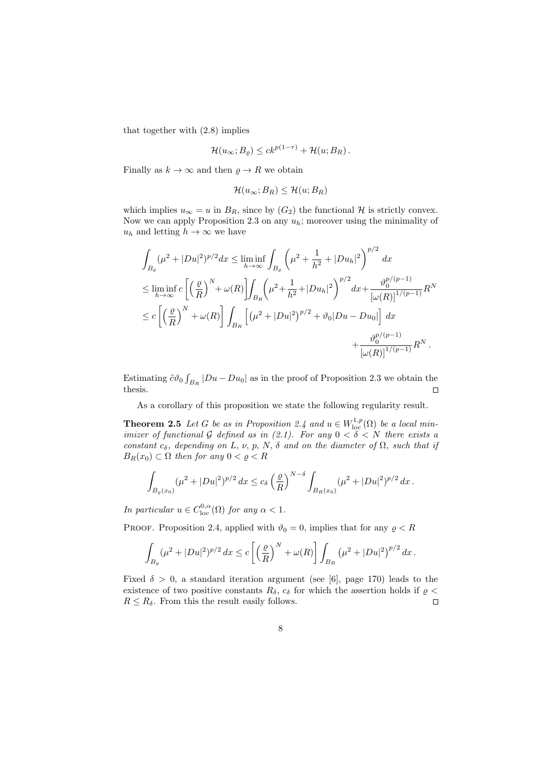that together with (2.8) implies

$$
\mathcal{H}(u_{\infty};B_{\varrho}) \leq ck^{p(1-\tau)} + \mathcal{H}(u;B_R).
$$

Finally as  $k \to \infty$  and then  $\rho \to R$  we obtain

$$
\mathcal{H}(u_{\infty};B_R) \leq \mathcal{H}(u;B_R)
$$

which implies  $u_{\infty} = u$  in  $B_R$ , since by  $(G_2)$  the functional H is strictly convex. Now we can apply Proposition 2.3 on any  $u_h$ ; moreover using the minimality of  $u_h$  and letting  $h \to \infty$  we have

$$
\int_{B_{\varrho}} (\mu^2 + |Du|^2)^{p/2} dx \le \liminf_{h \to \infty} \int_{B_{\varrho}} \left( \mu^2 + \frac{1}{h^2} + |Du_h|^2 \right)^{p/2} dx
$$
  
\n
$$
\le \liminf_{h \to \infty} c \left[ \left( \frac{\varrho}{R} \right)^N + \omega(R) \right] \int_{B_R} \left( \mu^2 + \frac{1}{h^2} + |Du_h|^2 \right)^{p/2} dx + \frac{\vartheta_0^{p/(p-1)}}{\left[ \omega(R) \right]^{1/(p-1)}} R^N
$$
  
\n
$$
\le c \left[ \left( \frac{\varrho}{R} \right)^N + \omega(R) \right] \int_{B_R} \left[ \left( \mu^2 + |Du|^2 \right)^{p/2} + \vartheta_0 |Du - Du_0| \right] dx + \frac{\vartheta_0^{p/(p-1)}}{\left[ \omega(R) \right]^{1/(p-1)}} R^N.
$$

Estimating  $\tilde{c}\vartheta_0 \int_{B_R} |Du - Du_0|$  as in the proof of Proposition 2.3 we obtain the thesis.  $\Box$ 

As a corollary of this proposition we state the following regularity result.

**Theorem 2.5** Let G be as in Proposition 2.4 and  $u \in W^{1,p}_{loc}(\Omega)$  be a local minimizer of functional G defined as in (2.1). For any  $0 < \delta < N$  there exists a constant  $c_{\delta}$ , depending on L, v, p, N,  $\delta$  and on the diameter of  $\Omega$ , such that if  $B_R(x_0) \subset \Omega$  then for any  $0 < \rho < R$ 

$$
\int_{B_{\varrho}(x_0)} (\mu^2 + |Du|^2)^{p/2} dx \le c_\delta \left(\frac{\varrho}{R}\right)^{N-\delta} \int_{B_R(x_0)} (\mu^2 + |Du|^2)^{p/2} dx.
$$

In particular  $u \in C^{0,\alpha}_{loc}(\Omega)$  for any  $\alpha < 1$ .

PROOF. Proposition 2.4, applied with  $\vartheta_0 = 0$ , implies that for any  $\rho < R$ 

$$
\int_{B_{\varrho}} (\mu^2 + |Du|^2)^{p/2} dx \le c \left[ \left( \frac{\varrho}{R} \right)^N + \omega(R) \right] \int_{B_R} (\mu^2 + |Du|^2)^{p/2} dx.
$$

Fixed  $\delta > 0$ , a standard iteration argument (see [6], page 170) leads to the existence of two positive constants  $R_{\delta}$ ,  $c_{\delta}$  for which the assertion holds if  $\rho$  <  $R \leq R_{\delta}$ . From this the result easily follows.  $\Box$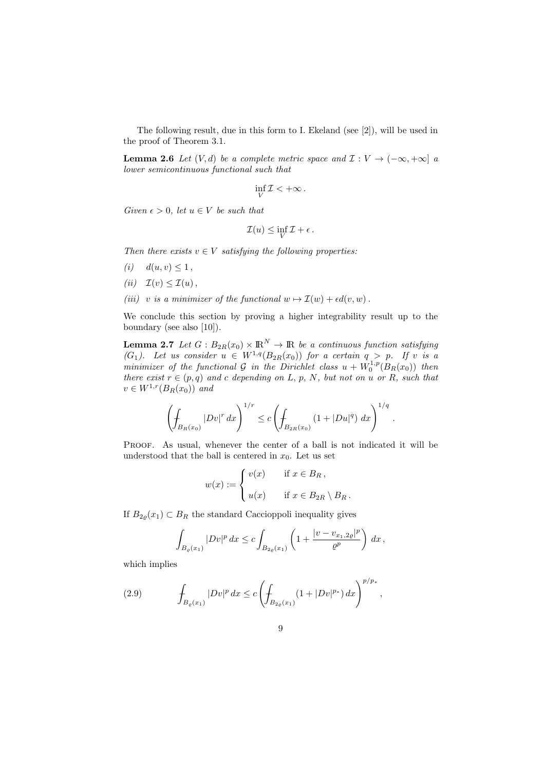The following result, due in this form to I. Ekeland (see [2]), will be used in the proof of Theorem 3.1.

**Lemma 2.6** Let  $(V, d)$  be a complete metric space and  $\mathcal{I}: V \to (-\infty, +\infty]$  a lower semicontinuous functional such that

$$
\inf_V \mathcal{I} < +\infty \, .
$$

Given  $\epsilon > 0$ , let  $u \in V$  be such that

$$
\mathcal{I}(u) \le \inf_V \mathcal{I} + \epsilon.
$$

Then there exists  $v \in V$  satisfying the following properties:

- (*i*)  $d(u, v) \le 1$ ,
- (ii)  $\mathcal{I}(v) \leq \mathcal{I}(u)$ ,
- (iii) v is a minimizer of the functional  $w \mapsto \mathcal{I}(w) + \epsilon d(v, w)$ .

We conclude this section by proving a higher integrability result up to the boundary (see also [10]).

**Lemma 2.7** Let  $G : B_{2R}(x_0) \times \mathbb{R}^N \to \mathbb{R}$  be a continuous function satisfying  $(G_1)$ . Let us consider  $u \in W^{1,q}(B_{2R}(x_0))$  for a certain  $q > p$ . If v is a minimizer of the functional  $\mathcal G$  in the Dirichlet class  $u + \tilde{W}_0^{1,p}(B_R(x_0))$  then there exist  $r \in (p,q)$  and c depending on L, p, N, but not on u or R, such that  $v \in W^{1,r}(B_R(x_0))$  and

$$
\left(\int_{B_R(x_0)} |Dv|^r dx\right)^{1/r} \le c \left(\int_{B_{2R}(x_0)} (1+|Du|^q) dx\right)^{1/q}.
$$

PROOF. As usual, whenever the center of a ball is not indicated it will be understood that the ball is centered in  $x_0$ . Let us set

$$
w(x) := \begin{cases} v(x) & \text{if } x \in B_R, \\ u(x) & \text{if } x \in B_{2R} \setminus B_R. \end{cases}
$$

If  $B_{2\varrho}(x_1) \subset B_R$  the standard Caccioppoli inequality gives

$$
\int_{B_{\varrho}(x_1)} |Dv|^p \, dx \leq c \int_{B_{2\varrho}(x_1)} \left( 1 + \frac{|v - v_{x_1, 2\varrho}|^p}{\varrho^p} \right) \, dx \, ,
$$

which implies

(2.9) 
$$
\int_{B_{\varrho}(x_1)} |Dv|^p dx \le c \left( \int_{B_{2\varrho}(x_1)} (1 + |Dv|^{p_*}) dx \right)^{p/p_*},
$$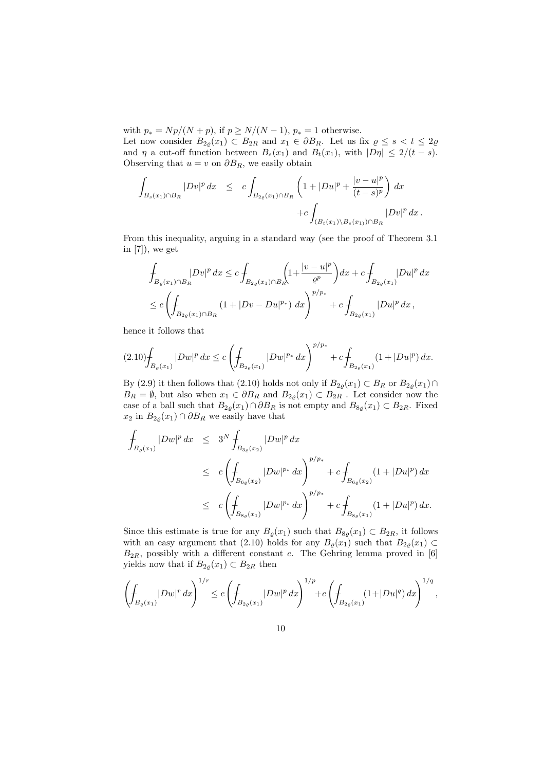with  $p_* = Np/(N + p)$ , if  $p \ge N/(N - 1)$ ,  $p_* = 1$  otherwise.

Let now consider  $B_{2\rho}(x_1) \subset B_{2R}$  and  $x_1 \in \partial B_R$ . Let us fix  $\varrho \leq s < t \leq 2\varrho$ and  $\eta$  a cut-off function between  $B_s(x_1)$  and  $B_t(x_1)$ , with  $|D\eta| \leq 2/(t-s)$ . Observing that  $u = v$  on  $\partial B_R$ , we easily obtain

$$
\int_{B_s(x_1)\cap B_R} |Dv|^p \, dx \leq c \int_{B_{2\varrho}(x_1)\cap B_R} \left(1 + |Du|^p + \frac{|v - u|^p}{(t - s)^p}\right) \, dx \n+ c \int_{(B_t(x_1)\setminus B_s(x_1))\cap B_R} |Dv|^p \, dx.
$$

From this inequality, arguing in a standard way (see the proof of Theorem 3.1 in [7]), we get

$$
\int_{B_{\varrho}(x_1)\cap B_R} |Dv|^p \, dx \le c \int_{B_{2\varrho}(x_1)\cap B_R} \left(1 + \frac{|v - u|^p}{\varrho^p}\right) dx + c \int_{B_{2\varrho}(x_1)} |Du|^p \, dx
$$
\n
$$
\le c \left(\int_{B_{2\varrho}(x_1)\cap B_R} (1 + |Dv - Du|^{p_*}) \, dx\right)^{p/p_*} + c \int_{B_{2\varrho}(x_1)} |Du|^p \, dx \, ,
$$

hence it follows that

$$
(2.10)\n\int_{B_{\varrho}(x_1)} |Dw|^p \, dx \le c \left( \int_{B_{2\varrho}(x_1)} |Dw|^{p_*} \, dx \right)^{p/p_*} + c \int_{B_{2\varrho}(x_1)} (1 + |Du|^p) \, dx.
$$

By (2.9) it then follows that (2.10) holds not only if  $B_{2\varrho}(x_1) \subset B_R$  or  $B_{2\varrho}(x_1) \cap$  $B_R = \emptyset$ , but also when  $x_1 \in \partial B_R$  and  $B_{2\varrho}(x_1) \subset B_{2R}$ . Let consider now the case of a ball such that  $B_{2\varrho}(x_1) \cap \partial B_R$  is not empty and  $B_{8\varrho}(x_1) \subset B_{2R}$ . Fixed  $x_2$  in  $B_{2\varrho}(x_1) \cap \partial B_R$  we easily have that

$$
\int_{B_{\varrho}(x_1)} |Dw|^p dx \leq 3^N \int_{B_{3\varrho}(x_2)} |Dw|^p dx
$$
\n
$$
\leq c \left( \int_{B_{6\varrho}(x_2)} |Dw|^{p_*} dx \right)^{p/p_*} + c \int_{B_{6\varrho}(x_2)} (1 + |Du|^p) dx
$$
\n
$$
\leq c \left( \int_{B_{8\varrho}(x_1)} |Dw|^{p_*} dx \right)^{p/p_*} + c \int_{B_{8\varrho}(x_1)} (1 + |Du|^p) dx.
$$

Since this estimate is true for any  $B_{\varrho}(x_1)$  such that  $B_{8\varrho}(x_1) \subset B_{2R}$ , it follows with an easy argument that (2.10) holds for any  $B_{\rho}(x_1)$  such that  $B_{2\rho}(x_1) \subset$  $B_{2R}$ , possibly with a different constant c. The Gehring lemma proved in [6] yields now that if  $B_{2\varrho}(x_1) \subset B_{2R}$  then

$$
\left(\int_{B_{\varrho}(x_1)} |Dw|^r \, dx\right)^{1/r} \le c \left(\int_{B_{2\varrho}(x_1)} |Dw|^p \, dx\right)^{1/p} + c \left(\int_{B_{2\varrho}(x_1)} (1 + |Du|^q) \, dx\right)^{1/q},
$$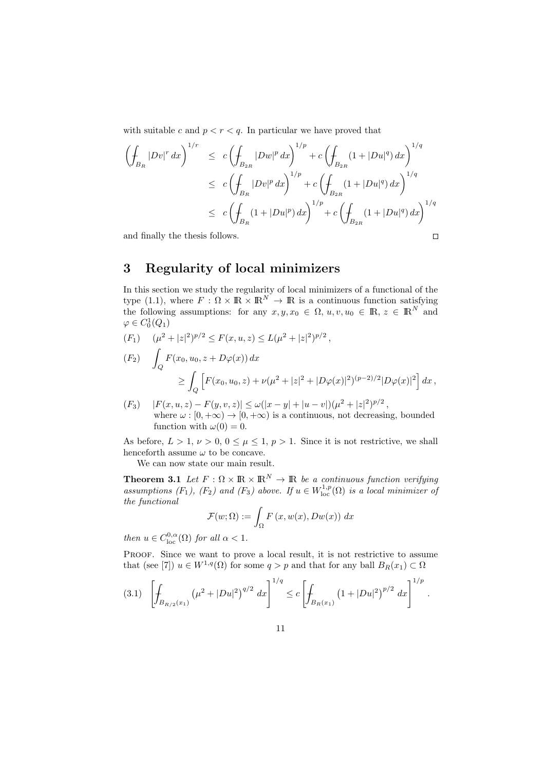with suitable c and  $p < r < q$ . In particular we have proved that

$$
\left(\oint_{B_R} |Dv|^r dx\right)^{1/r} \le c \left(\oint_{B_{2R}} |Dw|^p dx\right)^{1/p} + c \left(\oint_{B_{2R}} (1 + |Du|^q) dx\right)^{1/q}
$$
\n
$$
\le c \left(\oint_{B_R} |Dv|^p dx\right)^{1/p} + c \left(\oint_{B_{2R}} (1 + |Du|^q) dx\right)^{1/q}
$$
\n
$$
\le c \left(\oint_{B_R} (1 + |Du|^p) dx\right)^{1/p} + c \left(\oint_{B_{2R}} (1 + |Du|^q) dx\right)^{1/q}
$$
\nand finally the thesis follows.

and finally the thesis follows.

## 3 Regularity of local minimizers

In this section we study the regularity of local minimizers of a functional of the type (1.1), where  $F : \Omega \times \mathbb{R} \times \mathbb{R}^N \to \mathbb{R}$  is a continuous function satisfying the following assumptions: for any  $x, y, x_0 \in \Omega$ ,  $u, v, u_0 \in \mathbb{R}$ ,  $z \in \mathbb{R}^N$  and  $\varphi \in C_0^1(Q_1)$ 

- $(F_1) \quad (\mu^2 + |z|^2)^{p/2} \leq F(x, u, z) \leq L(\mu^2 + |z|^2)^{p/2},$  $(F_2)$  $\int_Q F(x_0, u_0, z + D\varphi(x)) dx$  $\geq$  $\left[ F(x_0, u_0, z) + \nu(\mu^2 + |z|^2 + |D\varphi(x)|^2)^{(p-2)/2} |D\varphi(x)|^2 \right] dx,$
- $(F_3) \quad |F(x, u, z) F(y, v, z)| \le \omega(|x y| + |u v|)(\mu^2 + |z|^2)^{p/2},$ where  $\omega : [0, +\infty) \to [0, +\infty)$  is a continuous, not decreasing, bounded function with  $\omega(0) = 0$ .

As before,  $L > 1$ ,  $\nu > 0$ ,  $0 \le \mu \le 1$ ,  $p > 1$ . Since it is not restrictive, we shall henceforth assume  $\omega$  to be concave.

We can now state our main result.

Q

**Theorem 3.1** Let  $F : \Omega \times \mathbb{R} \times \mathbb{R}^N \to \mathbb{R}$  be a continuous function verifying assumptions  $(F_1)$ ,  $(F_2)$  and  $(F_3)$  above. If  $u \in W^{1,p}_{loc}(\Omega)$  is a local minimizer of the functional

$$
\mathcal{F}(w;\Omega) := \int_{\Omega} F(x, w(x), Dw(x)) \ dx
$$

then  $u \in C^{0,\alpha}_{\text{loc}}(\Omega)$  for all  $\alpha < 1$ .

Proof. Since we want to prove a local result, it is not restrictive to assume that (see [7])  $u \in W^{1,q}(\Omega)$  for some  $q > p$  and that for any ball  $B_R(x_1) \subset \Omega$ 

$$
(3.1) \quad \left[\int_{B_{R/2}(x_1)} \left(\mu^2 + |Du|^2\right)^{q/2} dx\right]^{1/q} \leq c \left[\int_{B_R(x_1)} \left(1 + |Du|^2\right)^{p/2} dx\right]^{1/p}.
$$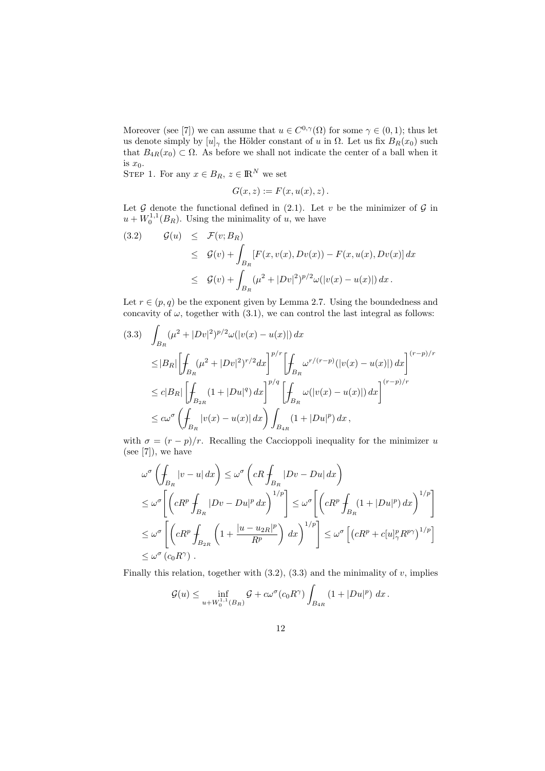Moreover (see [7]) we can assume that  $u \in C^{0,\gamma}(\Omega)$  for some  $\gamma \in (0,1)$ ; thus let us denote simply by  $[u]_\gamma$  the Hölder constant of u in  $\Omega$ . Let us fix  $B_R(x_0)$  such that  $B_{4R}(x_0) \subset \Omega$ . As before we shall not indicate the center of a ball when it is  $x_0$ .

STEP 1. For any  $x \in B_R$ ,  $z \in \mathbb{R}^N$  we set

$$
G(x, z) := F(x, u(x), z).
$$

Let  $G$  denote the functional defined in (2.1). Let v be the minimizer of  $G$  in  $u + W_0^{1,1}(B_R)$ . Using the minimality of u, we have

(3.2) 
$$
\mathcal{G}(u) \leq \mathcal{F}(v; B_R)
$$
  
\n
$$
\leq \mathcal{G}(v) + \int_{B_R} [F(x, v(x), Dv(x)) - F(x, u(x), Dv(x)] dx
$$
  
\n
$$
\leq \mathcal{G}(v) + \int_{B_R} (\mu^2 + |Dv|^2)^{p/2} \omega(|v(x) - u(x)|) dx.
$$

Let  $r \in (p,q)$  be the exponent given by Lemma 2.7. Using the boundedness and concavity of  $\omega$ , together with (3.1), we can control the last integral as follows:

$$
(3.3) \quad \int_{B_R} (\mu^2 + |Dv|^2)^{p/2} \omega(|v(x) - u(x)|) \, dx
$$
  
\n
$$
\leq |B_R| \left[ \int_{B_R} (\mu^2 + |Dv|^2)^{r/2} dx \right]^{p/r} \left[ \int_{B_R} \omega^{r/(r-p)} (|v(x) - u(x)|) \, dx \right]^{(r-p)/r}
$$
  
\n
$$
\leq c|B_R| \left[ \int_{B_{2R}} (1 + |Du|^q) \, dx \right]^{p/q} \left[ \int_{B_R} \omega(|v(x) - u(x)|) \, dx \right]^{(r-p)/r}
$$
  
\n
$$
\leq c\omega^{\sigma} \left( \int_{B_R} |v(x) - u(x)| \, dx \right) \int_{B_{4R}} (1 + |Du|^p) \, dx,
$$

with  $\sigma = (r - p)/r$ . Recalling the Caccioppoli inequality for the minimizer u (see  $[7]$ ), we have

$$
\omega^{\sigma} \left( \oint_{B_R} |v - u| dx \right) \leq \omega^{\sigma} \left( cR \oint_{B_R} |Dv - Du| dx \right)
$$
  
\n
$$
\leq \omega^{\sigma} \left[ \left( cR^p \oint_{B_R} |Dv - Du|^p dx \right)^{1/p} \right] \leq \omega^{\sigma} \left[ \left( cR^p \oint_{B_R} (1 + |Du|^p) dx \right)^{1/p} \right]
$$
  
\n
$$
\leq \omega^{\sigma} \left[ \left( cR^p \oint_{B_{2R}} \left( 1 + \frac{|u - u_{2R}|^p}{R^p} \right) dx \right)^{1/p} \right] \leq \omega^{\sigma} \left[ \left( cR^p + c[u]_2^p R^{p\gamma} \right)^{1/p} \right]
$$
  
\n
$$
\leq \omega^{\sigma} \left( c_0 R^{\gamma} \right).
$$

Finally this relation, together with  $(3.2)$ ,  $(3.3)$  and the minimality of v, implies

$$
\mathcal{G}(u) \le \inf_{u + W_0^{1,1}(B_R)} \mathcal{G} + c\omega^{\sigma}(c_0 R^{\gamma}) \int_{B_{4R}} (1 + |Du|^p) \ dx.
$$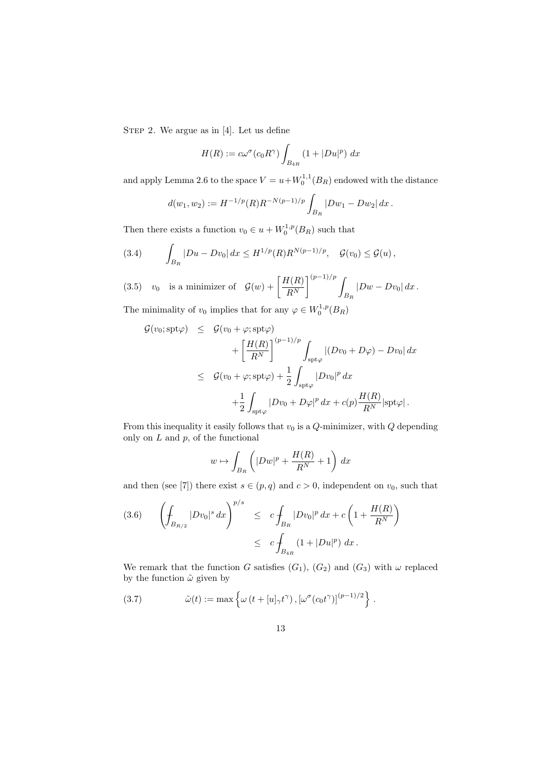STEP 2. We argue as in [4]. Let us define

$$
H(R) := c\omega^{\sigma}(c_0 R^{\gamma}) \int_{B_{4R}} (1 + |Du|^p) dx
$$

and apply Lemma 2.6 to the space  $V = u + W_0^{1,1}(B_R)$  endowed with the distance

$$
d(w_1, w_2) := H^{-1/p}(R)R^{-N(p-1)/p} \int_{B_R} |Dw_1 - Dw_2| dx.
$$

Then there exists a function  $v_0 \in u + W_0^{1,p}(B_R)$  such that

(3.4) 
$$
\int_{B_R} |Du - Dv_0| dx \le H^{1/p}(R)R^{N(p-1)/p}, \quad \mathcal{G}(v_0) \le \mathcal{G}(u),
$$

 $v_0$  is a minimizer of  $\mathcal{G}(w) + \left[\frac{H(R)}{R}\right]$  $R^N$  $\left( \frac{p-1}{p} \right)$  $B_R$ (3.5)  $v_0$  is a minimizer of  $\mathcal{G}(w) + \left| \frac{P(V)}{PN} \right|$   $\qquad \int |Dw - Dv_0| dx$ .

The minimality of  $v_0$  implies that for any  $\varphi \in W_0^{1,p}(B_R)$ 

$$
G(v_0; \text{spt}\varphi) \leq G(v_0 + \varphi; \text{spt}\varphi)
$$
  
+ 
$$
\left[\frac{H(R)}{R^N}\right]^{(p-1)/p} \int_{\text{spt}\varphi} |(Dv_0 + D\varphi) - Dv_0| dx
$$
  

$$
\leq G(v_0 + \varphi; \text{spt}\varphi) + \frac{1}{2} \int_{\text{spt}\varphi} |Dv_0|^p dx
$$
  
+ 
$$
\frac{1}{2} \int_{\text{spt}\varphi} |Dv_0 + D\varphi|^p dx + c(p) \frac{H(R)}{R^N} |\text{spt}\varphi|.
$$

From this inequality it easily follows that  $v_0$  is a  $Q$ -minimizer, with  $Q$  depending only on  $L$  and  $p$ , of the functional

$$
w \mapsto \int_{B_R} \left( |Dw|^p + \frac{H(R)}{R^N} + 1 \right) dx
$$

and then (see [7]) there exist  $s \in (p, q)$  and  $c > 0$ , independent on  $v_0$ , such that

$$
(3.6) \qquad \left(\int_{B_{R/2}} |Dv_0|^s \, dx\right)^{p/s} \leq c \int_{B_R} |Dv_0|^p \, dx + c \left(1 + \frac{H(R)}{R^N}\right) \leq c \int_{B_{4R}} (1 + |Du|^p) \, dx \, .
$$

We remark that the function G satisfies  $(G_1)$ ,  $(G_2)$  and  $(G_3)$  with  $\omega$  replaced by the function  $\tilde{\omega}$  given by

(3.7) 
$$
\tilde{\omega}(t) := \max \left\{ \omega \left( t + [u]_{\gamma} t^{\gamma} \right), \left[ \omega^{\sigma} (c_0 t^{\gamma}) \right]^{(p-1)/2} \right\}.
$$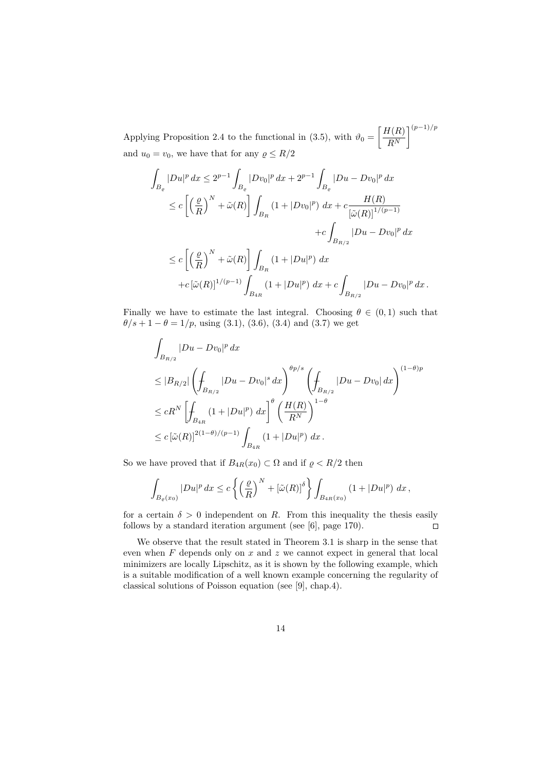Applying Proposition 2.4 to the functional in (3.5), with  $\vartheta_0 = \left[\frac{H(R)}{RN}\right]$  $R^N$  $\big]^{(p-1)/p}$ and  $u_0 = v_0$ , we have that for any  $\rho \leq R/2$ 

$$
\int_{B_{\varrho}} |Du|^p dx \le 2^{p-1} \int_{B_{\varrho}} |Dv_0|^p dx + 2^{p-1} \int_{B_{\varrho}} |Du - Dv_0|^p dx
$$
  
\n
$$
\le c \left[ \left( \frac{\varrho}{R} \right)^N + \tilde{\omega}(R) \right] \int_{B_R} (1 + |Dv_0|^p) dx + c \frac{H(R)}{[\tilde{\omega}(R)]^{1/(p-1)}} + c \int_{B_{R/2}} |Du - Dv_0|^p dx
$$
  
\n
$$
\le c \left[ \left( \frac{\varrho}{R} \right)^N + \tilde{\omega}(R) \right] \int_{B_R} (1 + |Du|^p) dx
$$
  
\n
$$
+ c \left[ \tilde{\omega}(R) \right]^{1/(p-1)} \int_{B_{4R}} (1 + |Du|^p) dx + c \int_{B_{R/2}} |Du - Dv_0|^p dx.
$$

Finally we have to estimate the last integral. Choosing  $\theta \in (0,1)$  such that  $\theta/s + 1 - \theta = 1/p$ , using (3.1), (3.6), (3.4) and (3.7) we get

$$
\int_{B_{R/2}} |Du - Dv_0|^p dx
$$
\n
$$
\leq |B_{R/2}| \left( \int_{B_{R/2}} |Du - Dv_0|^s dx \right)^{\theta p/s} \left( \int_{B_{R/2}} |Du - Dv_0| dx \right)^{(1-\theta)p}
$$
\n
$$
\leq cR^N \left[ \int_{B_{4R}} (1 + |Du|^p) dx \right]^\theta \left( \frac{H(R)}{R^N} \right)^{1-\theta}
$$
\n
$$
\leq c \left[ \tilde{\omega}(R) \right]^{2(1-\theta)/(p-1)} \int_{B_{4R}} (1 + |Du|^p) dx.
$$

So we have proved that if  $B_{4R}(x_0) \subset \Omega$  and if  $\varrho < R/2$  then

$$
\int_{B_{\varrho}(x_0)} |Du|^p dx \le c \left\{ \left(\frac{\varrho}{R}\right)^N + \left[\tilde{\omega}(R)\right]^{\delta} \right\} \int_{B_{4R}(x_0)} \left(1 + |Du|^p\right) dx,
$$

for a certain  $\delta > 0$  independent on R. From this inequality the thesis easily follows by a standard iteration argument (see [6], page 170).  $\Box$ 

We observe that the result stated in Theorem 3.1 is sharp in the sense that even when  $F$  depends only on  $x$  and  $z$  we cannot expect in general that local minimizers are locally Lipschitz, as it is shown by the following example, which is a suitable modification of a well known example concerning the regularity of classical solutions of Poisson equation (see [9], chap.4).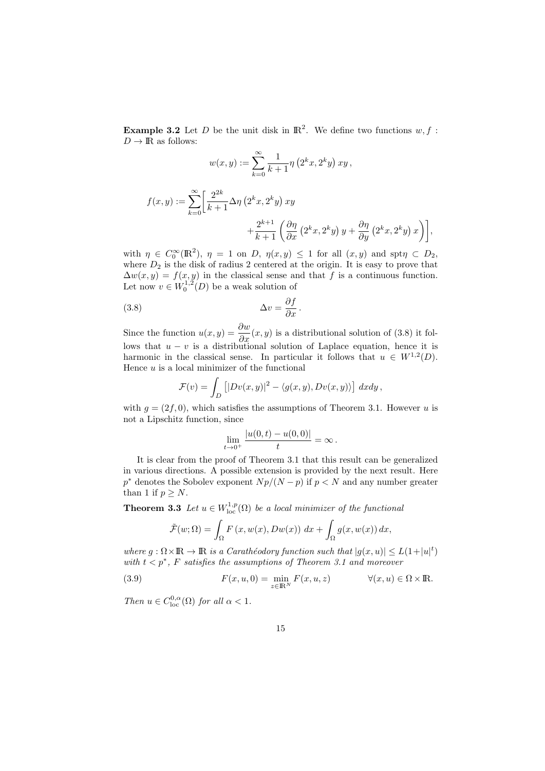**Example 3.2** Let D be the unit disk in  $\mathbb{R}^2$ . We define two functions  $w, f$ :  $D \to \mathbb{R}$  as follows:

$$
w(x, y) := \sum_{k=0}^{\infty} \frac{1}{k+1} \eta\left(2^k x, 2^k y\right) xy,
$$

$$
f(x,y) := \sum_{k=0}^{\infty} \left[ \frac{2^{2k}}{k+1} \Delta \eta \left( 2^k x, 2^k y \right) xy + \frac{2^{k+1}}{k+1} \left( \frac{\partial \eta}{\partial x} \left( 2^k x, 2^k y \right) y + \frac{\partial \eta}{\partial y} \left( 2^k x, 2^k y \right) x \right) \right],
$$

with  $\eta \in C_0^{\infty}(\mathbb{R}^2)$ ,  $\eta = 1$  on D,  $\eta(x, y) \le 1$  for all  $(x, y)$  and spt $\eta \subset D_2$ , where  $D_2$  is the disk of radius 2 centered at the origin. It is easy to prove that  $\Delta w(x, y) = f(x, y)$  in the classical sense and that f is a continuous function. Let now  $v \in W_0^{1,2}(D)$  be a weak solution of

(3.8) 
$$
\Delta v = \frac{\partial f}{\partial x}.
$$

Since the function  $u(x, y) = \frac{\partial w}{\partial x}(x, y)$  is a distributional solution of (3.8) it follows that  $u - v$  is a distributional solution of Laplace equation, hence it is harmonic in the classical sense. In particular it follows that  $u \in W^{1,2}(D)$ . Hence  $u$  is a local minimizer of the functional

$$
\mathcal{F}(v) = \int_D \left[ |Dv(x,y)|^2 - \langle g(x,y), Dv(x,y) \rangle \right] dx dy,
$$

with  $q = (2f, 0)$ , which satisfies the assumptions of Theorem 3.1. However u is not a Lipschitz function, since

$$
\lim_{t \to 0^+} \frac{|u(0,t) - u(0,0)|}{t} = \infty.
$$

It is clear from the proof of Theorem 3.1 that this result can be generalized in various directions. A possible extension is provided by the next result. Here  $p^*$  denotes the Sobolev exponent  $Np/(N-p)$  if  $p < N$  and any number greater than 1 if  $p \geq N$ .

**Theorem 3.3** Let  $u \in W^{1,p}_{loc}(\Omega)$  be a local minimizer of the functional

$$
\tilde{\mathcal{F}}(w;\Omega) = \int_{\Omega} F(x, w(x), Dw(x)) dx + \int_{\Omega} g(x, w(x)) dx,
$$

where  $g: \Omega \times \mathbb{R} \to \mathbb{R}$  is a Carathéodory function such that  $|g(x, u)| \leq L(1+|u|^t)$ with  $t < p^*$ , F satisfies the assumptions of Theorem 3.1 and moreover

(3.9) 
$$
F(x, u, 0) = \min_{z \in \mathbb{R}^N} F(x, u, z) \qquad \forall (x, u) \in \Omega \times \mathbb{R}.
$$

Then  $u \in C^{0,\alpha}_{loc}(\Omega)$  for all  $\alpha < 1$ .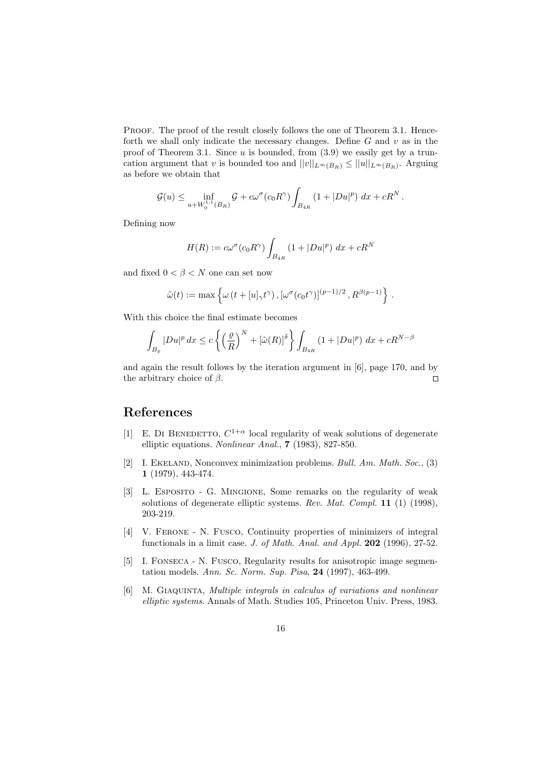PROOF. The proof of the result closely follows the one of Theorem 3.1. Henceforth we shall only indicate the necessary changes. Define  $G$  and  $v$  as in the proof of Theorem 3.1. Since  $u$  is bounded, from  $(3.9)$  we easily get by a truncation argument that v is bounded too and  $||v||_{L^{\infty}(B_R)} \leq ||u||_{L^{\infty}(B_R)}$ . Arguing as before we obtain that

$$
\mathcal{G}(u) \leq \inf_{u+W_0^{1,1}(B_R)} \mathcal{G} + c\omega^{\sigma}(c_0 R^{\gamma}) \int_{B_{4R}} \left(1+|Du|^p\right) dx + cR^N.
$$

Defining now

$$
H(R) := c\omega^{\sigma}(c_0 R^{\gamma}) \int_{B_{4R}} (1 + |Du|^p) dx + cR^N
$$

and fixed  $0 < \beta < N$  one can set now

$$
\tilde{\omega}(t):=\max\left\{\omega\left(t+[u]_{\gamma}t^{\gamma}\right),\left[\omega^{\sigma}(c_0t^{\gamma})\right]^{(p-1)/2},R^{\beta(p-1)}\right\}\,.
$$

With this choice the final estimate becomes

$$
\int_{B_{\varrho}} |Du|^p \, dx \le c \left\{ \left(\frac{\varrho}{R}\right)^N + \left[\tilde{\omega}(R)\right]^{\delta} \right\} \int_{B_{4R}} \left(1 + |Du|^p\right) \, dx + cR^{N-\beta}
$$

and again the result follows by the iteration argument in [6], page 170, and by the arbitrary choice of  $\beta$ .  $\Box$ 

# References

- [1] E. DI BENEDETTO,  $C^{1+\alpha}$  local regularity of weak solutions of degenerate elliptic equations. Nonlinear Anal., 7 (1983), 827-850.
- [2] I. EKELAND, Nonconvex minimization problems. Bull. Am. Math. Soc., (3) 1 (1979), 443-474.
- [3] L. Esposito G. Mingione, Some remarks on the regularity of weak solutions of degenerate elliptic systems. Rev. Mat. Compl. 11  $(1)$  (1998), 203-219.
- [4] V. Ferone N. Fusco, Continuity properties of minimizers of integral functionals in a limit case. J. of Math. Anal. and Appl. 202 (1996), 27-52.
- [5] I. Fonseca N. Fusco, Regularity results for anisotropic image segmentation models. Ann. Sc. Norm. Sup. Pisa, 24 (1997), 463-499.
- [6] M. Giaquinta, Multiple integrals in calculus of variations and nonlinear elliptic systems. Annals of Math. Studies 105, Princeton Univ. Press, 1983.